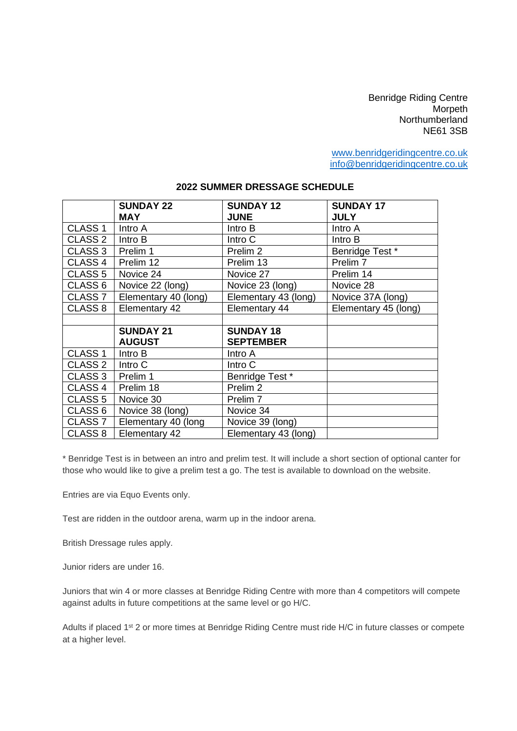Benridge Riding Centre **Morpeth** Northumberland NE61 3SB

[www.benridgeridingcentre.co.uk](http://www.benridgeridingcentre.co.uk/) [info@benridgeridingcentre.co.uk](mailto:info@benridgeridingcentre.co.uk)

|                    | <b>SUNDAY 22</b><br><b>MAY</b> | <b>SUNDAY 12</b><br><b>JUNE</b> | <b>SUNDAY 17</b><br><b>JULY</b> |
|--------------------|--------------------------------|---------------------------------|---------------------------------|
| CLASS <sub>1</sub> | Intro A                        | Intro B                         | Intro A                         |
| CLASS <sub>2</sub> | Intro B                        | Intro C                         | Intro B                         |
| CLASS <sub>3</sub> | Prelim 1                       | Prelim <sub>2</sub>             | Benridge Test *                 |
| CLASS <sub>4</sub> | Prelim 12                      | Prelim 13                       | Prelim <sub>7</sub>             |
| CLASS <sub>5</sub> | Novice 24                      | Novice 27                       | Prelim 14                       |
| CLASS <sub>6</sub> | Novice 22 (long)               | Novice 23 (long)                | Novice 28                       |
| CLASS <sub>7</sub> | Elementary 40 (long)           | Elementary 43 (long)            | Novice 37A (long)               |
| CLASS <sub>8</sub> | Elementary 42                  | Elementary 44                   | Elementary 45 (long)            |
|                    |                                |                                 |                                 |
|                    | <b>SUNDAY 21</b>               | <b>SUNDAY 18</b>                |                                 |
|                    | <b>AUGUST</b>                  | <b>SEPTEMBER</b>                |                                 |
| CLASS <sub>1</sub> | Intro B                        | Intro A                         |                                 |
| CLASS <sub>2</sub> | Intro C                        | Intro C                         |                                 |
| CLASS <sub>3</sub> | Prelim 1                       | Benridge Test *                 |                                 |
| CLASS <sub>4</sub> | Prelim 18                      | Prelim <sub>2</sub>             |                                 |
| CLASS <sub>5</sub> | Novice 30                      | Prelim <sub>7</sub>             |                                 |
| CLASS <sub>6</sub> | Novice 38 (long)               | Novice 34                       |                                 |
| CLASS <sub>7</sub> | Elementary 40 (long            | Novice 39 (long)                |                                 |
| CLASS 8            | Elementary 42                  | Elementary 43 (long)            |                                 |

\* Benridge Test is in between an intro and prelim test. It will include a short section of optional canter for those who would like to give a prelim test a go. The test is available to download on the website.

Entries are via Equo Events only.

Test are ridden in the outdoor arena, warm up in the indoor arena.

British Dressage rules apply.

Junior riders are under 16.

Juniors that win 4 or more classes at Benridge Riding Centre with more than 4 competitors will compete against adults in future competitions at the same level or go H/C.

Adults if placed 1<sup>st</sup> 2 or more times at Benridge Riding Centre must ride H/C in future classes or compete at a higher level.